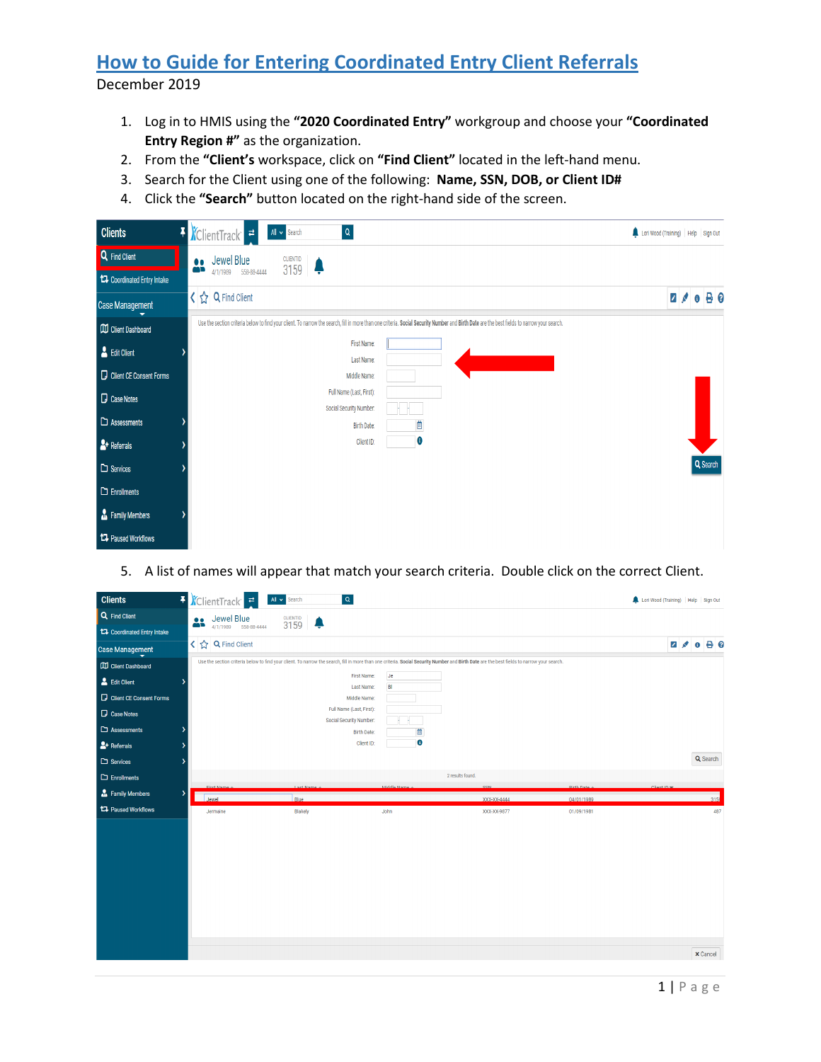## **How to Guide for Entering Coordinated Entry Client Referrals** December 2019

- 1. Log in to HMIS using the **"2020 Coordinated Entry"** workgroup and choose your **"Coordinated Entry Region #"** as the organization.
- 2. From the **"Client's** workspace, click on **"Find Client"** located in the left-hand menu.
- 3. Search for the Client using one of the following: **Name, SSN, DOB, or Client ID#**
- 4. Click the **"Search"** button located on the right-hand side of the screen.

| <b>Clients</b>                     | F ClientTrack <sup>-</sup><br>$\alpha$<br>All v Search                                                                                                                                     | Lori Wood (Training)   Help   Sign Out |
|------------------------------------|--------------------------------------------------------------------------------------------------------------------------------------------------------------------------------------------|----------------------------------------|
| Q Find Client                      | Jewel Blue<br>CLIENTID<br>3159<br>$\bullet\bullet$                                                                                                                                         |                                        |
| <b>14</b> Coordinated Entry Intake | äĎ<br>4/1/1989 558-88-4444                                                                                                                                                                 |                                        |
| <b>Case Management</b>             | K ☆ Q Find Client                                                                                                                                                                          | $0$ $\theta$ $\theta$<br>78            |
| <b>CO</b> Client Dashboard         | Use the section criteria below to find your client. To narrow the search, fill in more than one criteria. Social Security Number and Birth Date are the best fields to narrow your search. |                                        |
| <b>A</b> Edit Client               | First Name:<br>Last Name:                                                                                                                                                                  |                                        |
| Client CE Consent Forms            | Middle Name:                                                                                                                                                                               |                                        |
| <b>D</b> Case Notes                | Full Name (Last, First):                                                                                                                                                                   |                                        |
| $\Box$ Assessments                 | Social Security Number:<br>Ë<br><b>Birth Date:</b>                                                                                                                                         |                                        |
| $\rightarrow$ Referrals            | 0<br>Client ID:                                                                                                                                                                            |                                        |
| $\square$ Services                 |                                                                                                                                                                                            | Q Search                               |
| $\Box$ Enrollments                 |                                                                                                                                                                                            |                                        |
| <b>Contract Family Members</b>     |                                                                                                                                                                                            |                                        |
| <b>17</b> Paused Workflows         |                                                                                                                                                                                            |                                        |

5. A list of names will appear that match your search criteria. Double click on the correct Client.

| <b>Clients</b>              | $\pmb{\ast}$ | KelientTrack <sup>-</sup> | All v Search         | $\vert \alpha \vert$            |                                                                                                                                                                                            |             |            | Lori Wood (Training)   Help   Sign Out |          |
|-----------------------------|--------------|---------------------------|----------------------|---------------------------------|--------------------------------------------------------------------------------------------------------------------------------------------------------------------------------------------|-------------|------------|----------------------------------------|----------|
| Q Find Client               |              | Jewel Blue<br>25          | <b>CLIENTID</b> 3159 |                                 |                                                                                                                                                                                            |             |            |                                        |          |
| 17 Coordinated Entry Intake |              | 4/1/1989 558-88-4444      |                      |                                 |                                                                                                                                                                                            |             |            |                                        |          |
| <b>Case Management</b>      |              | < ☆ Q Find Client         |                      |                                 |                                                                                                                                                                                            |             |            |                                        | 200000   |
| <b>CD</b> Client Dashboard  |              |                           |                      |                                 | Use the section criteria below to find your client. To narrow the search, fill in more than one criteria. Social Security Number and Birth Date are the best fields to narrow your search. |             |            |                                        |          |
| Edit Client                 |              |                           |                      | <b>Je</b><br>First Name:        |                                                                                                                                                                                            |             |            |                                        |          |
| Client CE Consent Forms     |              |                           |                      | B<br>Last Name:<br>Middle Name: |                                                                                                                                                                                            |             |            |                                        |          |
|                             |              |                           |                      | Full Name (Last, First):        |                                                                                                                                                                                            |             |            |                                        |          |
| Case Notes                  |              |                           |                      | Social Security Number:         | ×                                                                                                                                                                                          |             |            |                                        |          |
| $\Box$ Assessments          |              |                           |                      | <b>Birth Date:</b>              | 茴                                                                                                                                                                                          |             |            |                                        |          |
| $2 +$ Referrals             |              |                           |                      | Client ID:                      | $\bullet$                                                                                                                                                                                  |             |            |                                        |          |
| $\square$ Services          |              |                           |                      |                                 |                                                                                                                                                                                            |             |            |                                        | Q Search |
| $\Box$ Enrollments          |              |                           |                      |                                 | 2 results found.                                                                                                                                                                           |             |            |                                        |          |
|                             |              |                           |                      |                                 |                                                                                                                                                                                            |             |            |                                        |          |
|                             |              | Firet Name                | <b>Laet Name</b>     | Middle Name                     | <b>CCM</b>                                                                                                                                                                                 |             | Rirth Date | Client ID w                            |          |
| Family Members              | ۰,           | Jewel                     | Blue                 |                                 |                                                                                                                                                                                            | XXX-XX-4444 | 04/01/1989 |                                        | 3159     |
| <b>17</b> Paused Workflows  |              | Jermaine                  | Blakely              | John                            |                                                                                                                                                                                            | XXX-XX-9877 | 01/09/1981 |                                        | 487      |
|                             |              |                           |                      |                                 |                                                                                                                                                                                            |             |            |                                        |          |
|                             |              |                           |                      |                                 |                                                                                                                                                                                            |             |            |                                        |          |
|                             |              |                           |                      |                                 |                                                                                                                                                                                            |             |            |                                        |          |
|                             |              |                           |                      |                                 |                                                                                                                                                                                            |             |            |                                        |          |
|                             |              |                           |                      |                                 |                                                                                                                                                                                            |             |            |                                        |          |
|                             |              |                           |                      |                                 |                                                                                                                                                                                            |             |            |                                        |          |
|                             |              |                           |                      |                                 |                                                                                                                                                                                            |             |            |                                        |          |
|                             |              |                           |                      |                                 |                                                                                                                                                                                            |             |            |                                        |          |
|                             |              |                           |                      |                                 |                                                                                                                                                                                            |             |            |                                        |          |
|                             |              |                           |                      |                                 |                                                                                                                                                                                            |             |            |                                        |          |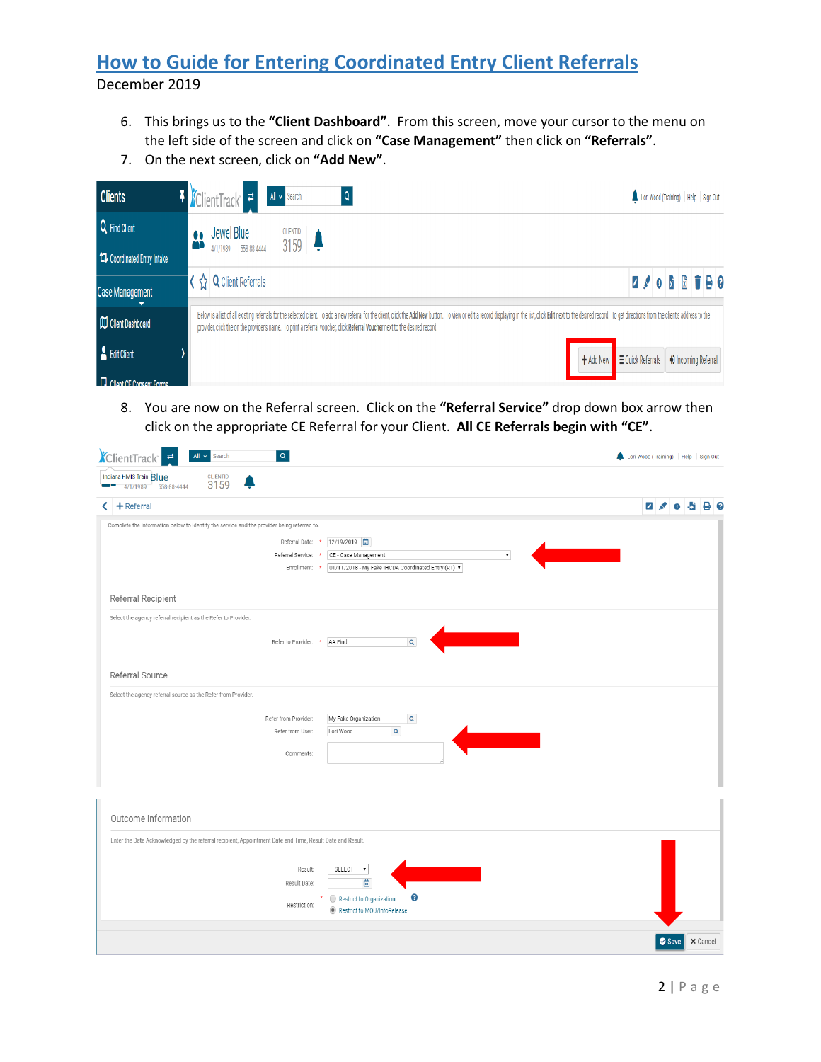## **How to Guide for Entering Coordinated Entry Client Referrals** December 2019

- 6. This brings us to the **"Client Dashboard"**. From this screen, move your cursor to the menu on the left side of the screen and click on **"Case Management"** then click on **"Referrals"**.
- 7. On the next screen, click on **"Add New"**.



8. You are now on the Referral screen. Click on the **"Referral Service"** drop down box arrow then click on the appropriate CE Referral for your Client. **All CE Referrals begin with "CE"**.

| <i><b>ClientTrack</b></i><br>$\alpha$<br>All v Search                                                     | Lori Wood (Training)   Help   Sign Out |
|-----------------------------------------------------------------------------------------------------------|----------------------------------------|
| Indiana HMIS Train Blue<br><b>CLIENTID</b><br>3159<br>4/1/1989<br>558-88-4444<br>- 12                     |                                        |
| $+$ Referral<br>◁                                                                                         | $2 \times 0.500$                       |
| Complete the information below to identify the service and the provider being referred to.                |                                        |
| 12/19/2019<br>Referral Date: *                                                                            |                                        |
| CE - Case Management<br>Referral Service:                                                                 | $\pmb{\mathrm{v}}$                     |
| 01/11/2018 - My Fake IHCDA Coordinated Entry (R1) ▼<br>Enrollment: *                                      |                                        |
| Referral Recipient                                                                                        |                                        |
| Select the agency referral recipient as the Refer to Provider.                                            |                                        |
| $\mathsf Q$<br>Refer to Provider: * AA Find                                                               |                                        |
|                                                                                                           |                                        |
| Referral Source                                                                                           |                                        |
| Select the agency referral source as the Refer from Provider.                                             |                                        |
| Refer from Provider:<br>My Fake Organization<br>$\mathbf{Q}$                                              |                                        |
| $\mathbf{Q}$<br>Refer from User:<br>Lori Wood                                                             |                                        |
| Comments:                                                                                                 |                                        |
|                                                                                                           |                                        |
|                                                                                                           |                                        |
|                                                                                                           |                                        |
| Outcome Information                                                                                       |                                        |
| Enter the Date Acknowledged by the referral recipient, Appointment Date and Time, Result Date and Result. |                                        |
|                                                                                                           |                                        |
| - SELECT - v<br>Result:<br>首<br>Result Date:                                                              |                                        |
| ❸<br>Restrict to Organization<br>٠                                                                        |                                        |
| Restriction:<br>Restrict to MOU/InfoRelease                                                               |                                        |
|                                                                                                           |                                        |
|                                                                                                           | <b>x</b> Cancel<br>Save                |